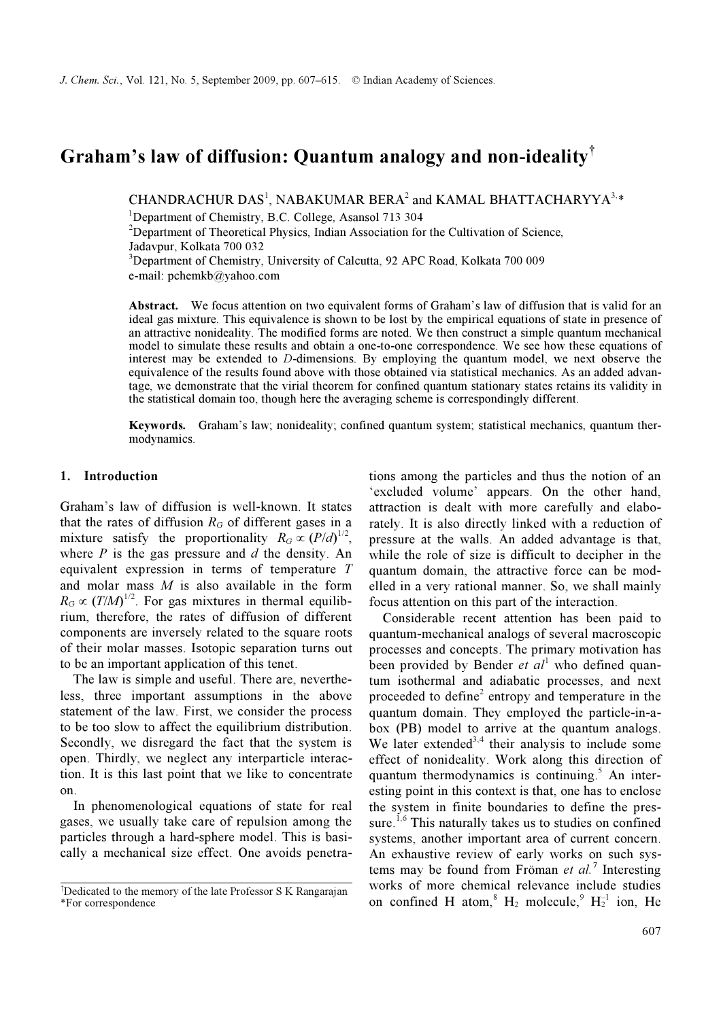# Graham's law of diffusion: Quantum analogy and non-ideality<sup>†</sup>

CHANDRACHUR  $\text{DAS}^1$ , NABAKUMAR BERA<sup>2</sup> and KAMAL BHATTACHARYYA<sup>3,\*</sup>

<sup>1</sup>Department of Chemistry, B.C. College, Asansol 713 304

<sup>2</sup>Department of Theoretical Physics, Indian Association for the Cultivation of Science, Jadavpur, Kolkata 700 032

<sup>3</sup>Department of Chemistry, University of Calcutta, 92 APC Road, Kolkata 700 009 e-mail: pchemkb@yahoo.com

Abstract. We focus attention on two equivalent forms of Graham's law of diffusion that is valid for an ideal gas mixture. This equivalence is shown to be lost by the empirical equations of state in presence of an attractive nonideality. The modified forms are noted. We then construct a simple quantum mechanical model to simulate these results and obtain a one-to-one correspondence. We see how these equations of interest may be extended to D-dimensions. By employing the quantum model, we next observe the equivalence of the results found above with those obtained via statistical mechanics. As an added advantage, we demonstrate that the virial theorem for confined quantum stationary states retains its validity in the statistical domain too, though here the averaging scheme is correspondingly different.

Keywords. Graham's law; nonideality; confined quantum system; statistical mechanics, quantum thermodynamics.

# 1. Introduction

Graham's law of diffusion is well-known. It states that the rates of diffusion  $R_G$  of different gases in a mixture satisfy the proportionality  $R_G \propto (P/d)^{1/2}$ , where  $P$  is the gas pressure and  $d$  the density. An equivalent expression in terms of temperature T and molar mass  $M$  is also available in the form  $R_G \propto (T/M)^{1/2}$ . For gas mixtures in thermal equilibrium, therefore, the rates of diffusion of different components are inversely related to the square roots of their molar masses. Isotopic separation turns out to be an important application of this tenet.

 The law is simple and useful. There are, nevertheless, three important assumptions in the above statement of the law. First, we consider the process to be too slow to affect the equilibrium distribution. Secondly, we disregard the fact that the system is open. Thirdly, we neglect any interparticle interaction. It is this last point that we like to concentrate on.

 In phenomenological equations of state for real gases, we usually take care of repulsion among the particles through a hard-sphere model. This is basically a mechanical size effect. One avoids penetrations among the particles and thus the notion of an 'excluded volume' appears. On the other hand, attraction is dealt with more carefully and elaborately. It is also directly linked with a reduction of pressure at the walls. An added advantage is that, while the role of size is difficult to decipher in the quantum domain, the attractive force can be modelled in a very rational manner. So, we shall mainly focus attention on this part of the interaction.

 Considerable recent attention has been paid to quantum-mechanical analogs of several macroscopic processes and concepts. The primary motivation has been provided by Bender  $et$   $al<sup>1</sup>$  who defined quantum isothermal and adiabatic processes, and next proceeded to define<sup>2</sup> entropy and temperature in the quantum domain. They employed the particle-in-abox (PB) model to arrive at the quantum analogs. We later extended<sup>3,4</sup> their analysis to include some effect of nonideality. Work along this direction of quantum thermodynamics is continuing.<sup>5</sup> An interesting point in this context is that, one has to enclose the system in finite boundaries to define the pressure.<sup>1,6</sup> This naturally takes us to studies on confined systems, another important area of current concern. An exhaustive review of early works on such systems may be found from Fröman et  $al$ <sup>7</sup> Interesting works of more chemical relevance include studies on confined H atom,  ${}^{8}$  H<sub>2</sub> molecule,  ${}^{9}$  H<sub>2</sub><sup>1</sup> ion, He

<sup>†</sup> Dedicated to the memory of the late Professor S K Rangarajan \*For correspondence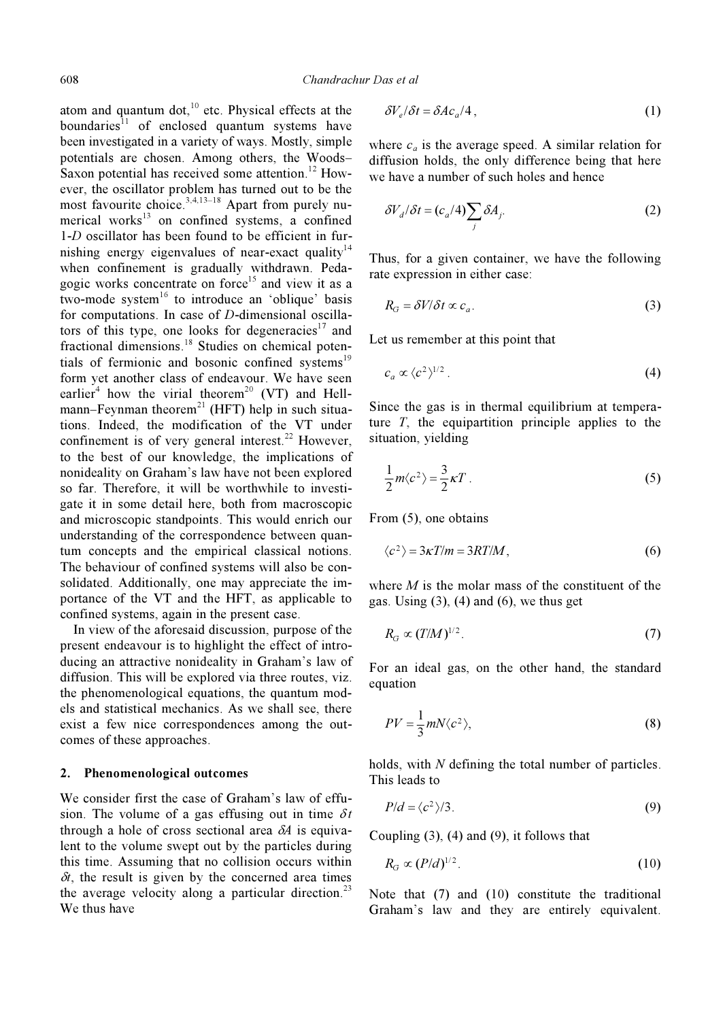atom and quantum dot, $10$  etc. Physical effects at the boundaries<sup>11</sup> of enclosed quantum systems have been investigated in a variety of ways. Mostly, simple potentials are chosen. Among others, the Woods– Saxon potential has received some attention.<sup>12</sup> However, the oscillator problem has turned out to be the most favourite choice.<sup>3,4,13–18</sup> Apart from purely numerical works $13$  on confined systems, a confined 1-D oscillator has been found to be efficient in furnishing energy eigenvalues of near-exact quality $14$ when confinement is gradually withdrawn. Pedagogic works concentrate on force<sup>15</sup> and view it as a two-mode system<sup>16</sup> to introduce an 'oblique' basis for computations. In case of D-dimensional oscillators of this type, one looks for degeneracies<sup>17</sup> and fractional dimensions.<sup>18</sup> Studies on chemical potentials of fermionic and bosonic confined systems $19$ form yet another class of endeavour. We have seen earlier<sup>4</sup> how the virial theorem<sup>20</sup> (VT) and Hellmann–Feynman theorem<sup>21</sup> (HFT) help in such situations. Indeed, the modification of the VT under confinement is of very general interest.<sup>22</sup> However, to the best of our knowledge, the implications of nonideality on Graham's law have not been explored so far. Therefore, it will be worthwhile to investigate it in some detail here, both from macroscopic and microscopic standpoints. This would enrich our understanding of the correspondence between quantum concepts and the empirical classical notions. The behaviour of confined systems will also be consolidated. Additionally, one may appreciate the importance of the VT and the HFT, as applicable to confined systems, again in the present case.

 In view of the aforesaid discussion, purpose of the present endeavour is to highlight the effect of introducing an attractive nonideality in Graham's law of diffusion. This will be explored via three routes, viz. the phenomenological equations, the quantum models and statistical mechanics. As we shall see, there exist a few nice correspondences among the outcomes of these approaches.

# 2. Phenomenological outcomes

We consider first the case of Graham's law of effusion. The volume of a gas effusing out in time  $\delta t$ through a hole of cross sectional area  $\delta A$  is equivalent to the volume swept out by the particles during this time. Assuming that no collision occurs within  $\delta t$ , the result is given by the concerned area times the average velocity along a particular direction.<sup>23</sup> We thus have

$$
\delta V_e / \delta t = \delta A c_a / 4 , \qquad (1)
$$

where  $c_a$  is the average speed. A similar relation for diffusion holds, the only difference being that here we have a number of such holes and hence

$$
\delta V_d / \delta t = (c_a/4) \sum_j \delta A_j. \tag{2}
$$

Thus, for a given container, we have the following rate expression in either case:

$$
R_G = \delta V / \delta t \propto c_a.
$$
 (3)

Let us remember at this point that

$$
c_a \propto \langle c^2 \rangle^{1/2} \,. \tag{4}
$$

Since the gas is in thermal equilibrium at temperature  $T$ , the equipartition principle applies to the situation, yielding

$$
\frac{1}{2}m\langle c^2 \rangle = \frac{3}{2}\kappa T \,. \tag{5}
$$

From (5), one obtains

$$
\langle c^2 \rangle = 3\kappa T/m = 3RT/M, \tag{6}
$$

where  $M$  is the molar mass of the constituent of the gas. Using  $(3)$ ,  $(4)$  and  $(6)$ , we thus get

$$
R_G \propto (T/M)^{1/2}.\tag{7}
$$

For an ideal gas, on the other hand, the standard equation

$$
PV = \frac{1}{3} mN \langle c^2 \rangle, \tag{8}
$$

holds, with N defining the total number of particles. This leads to

$$
P/d = \langle c^2 \rangle /3. \tag{9}
$$

Coupling  $(3)$ ,  $(4)$  and  $(9)$ , it follows that

$$
R_G \propto (P/d)^{1/2}.\tag{10}
$$

Note that (7) and (10) constitute the traditional Graham's law and they are entirely equivalent.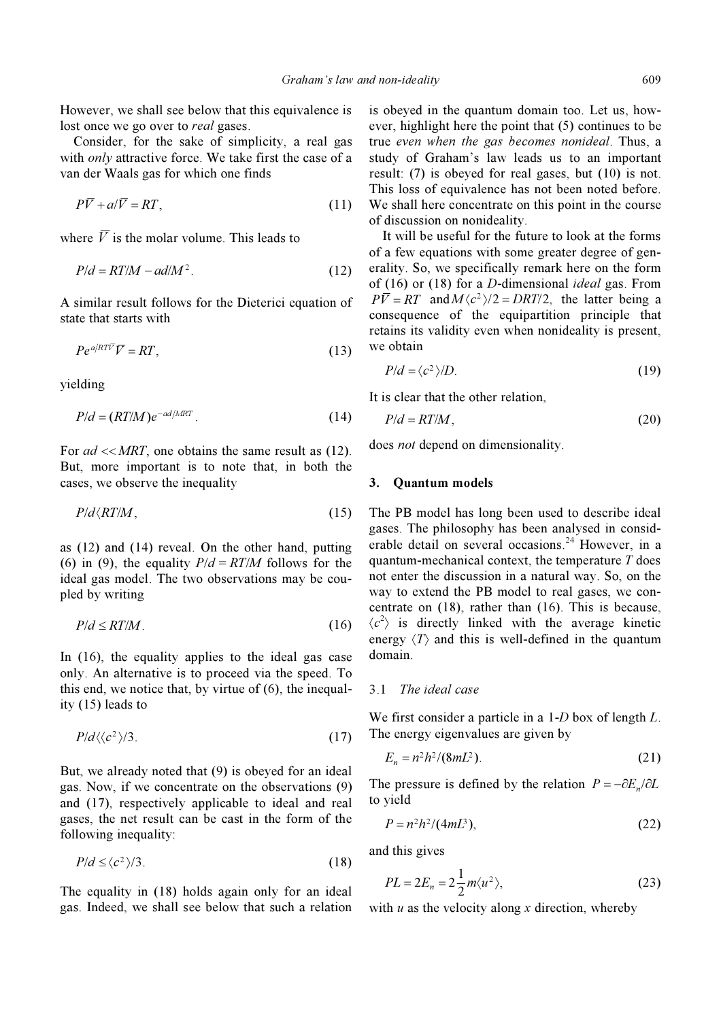However, we shall see below that this equivalence is lost once we go over to *real* gases.

 Consider, for the sake of simplicity, a real gas with *only* attractive force. We take first the case of a van der Waals gas for which one finds

$$
P\overline{V} + a/\overline{V} = RT,\tag{11}
$$

where  $\overline{V}$  is the molar volume. This leads to

$$
P/d = RT/M - ad/M^2.
$$
 (12)

A similar result follows for the Dieterici equation of state that starts with

$$
Pe^{a/RT\overline{V}}\overline{V} = RT,\t\t(13)
$$

yielding

$$
P e^{-\mu x} V = R I,
$$
\n
$$
P/d = (RT/M)e^{-ad/MRT}.
$$
\n(14)

For  $ad \ll MRT$ , one obtains the same result as (12). But, more important is to note that, in both the cases, we observe the inequality

$$
P/d\langle RT/M, \tag{15}
$$

as (12) and (14) reveal. On the other hand, putting (6) in (9), the equality  $P/d = RT/M$  follows for the ideal gas model. The two observations may be coupled by writing

$$
P/d \le RT/M. \tag{16}
$$

In (16), the equality applies to the ideal gas case only. An alternative is to proceed via the speed. To this end, we notice that, by virtue of (6), the inequality (15) leads to

$$
P/d\langle\langle c^2\rangle/3.\tag{17}
$$

But, we already noted that (9) is obeyed for an ideal gas. Now, if we concentrate on the observations (9) and (17), respectively applicable to ideal and real gases, the net result can be cast in the form of the following inequality:

$$
P/d \le \langle c^2 \rangle /3. \tag{18}
$$

The equality in (18) holds again only for an ideal gas. Indeed, we shall see below that such a relation is obeyed in the quantum domain too. Let us, however, highlight here the point that (5) continues to be true even when the gas becomes nonideal. Thus, a study of Graham's law leads us to an important result: (7) is obeyed for real gases, but (10) is not. This loss of equivalence has not been noted before. We shall here concentrate on this point in the course of discussion on nonideality.

 It will be useful for the future to look at the forms of a few equations with some greater degree of generality. So, we specifically remark here on the form of (16) or (18) for a *D*-dimensional *ideal* gas. From  $P\overline{V} = RT$  and  $M \langle c^2 \rangle/2 = DRT/2$ , the latter being a consequence of the equipartition principle that retains its validity even when nonideality is present, we obtain

$$
P/d = \langle c^2 \rangle / D. \tag{19}
$$

It is clear that the other relation,

$$
P/d = RT/M, \tag{20}
$$

does not depend on dimensionality.

# 3. Quantum models

The PB model has long been used to describe ideal gases. The philosophy has been analysed in considerable detail on several occasions.<sup>24</sup> However, in a quantum-mechanical context, the temperature  $T$  does not enter the discussion in a natural way. So, on the way to extend the PB model to real gases, we concentrate on (18), rather than (16). This is because,  $\langle c^2 \rangle$  is directly linked with the average kinetic energy  $\langle T \rangle$  and this is well-defined in the quantum domain.

## 3.1 The ideal case

We first consider a particle in a 1-D box of length L. The energy eigenvalues are given by

$$
E_n = n^2 h^2 / (8mL^2).
$$
 (21)

The pressure is defined by the relation  $P = -\partial E_n / \partial L$ to yield

$$
P = n^2 h^2 / (4mL^3),
$$
 (22)

and this gives

$$
PL = 2E_n = 2\frac{1}{2}m\langle u^2 \rangle, \tag{23}
$$

with  $u$  as the velocity along  $x$  direction, whereby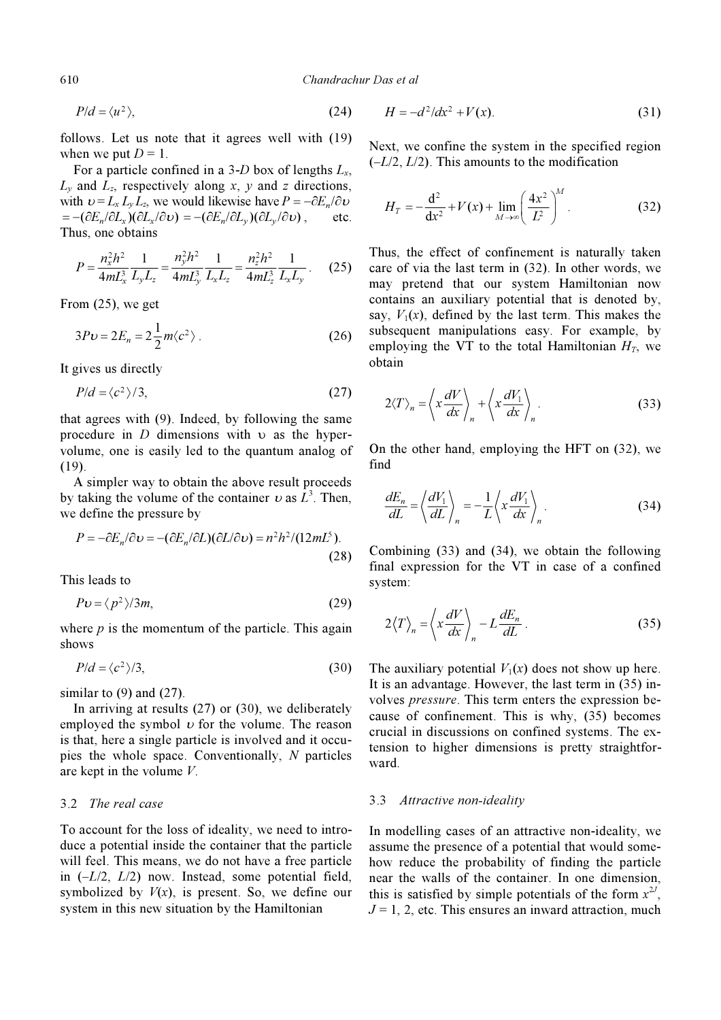$$
P/d = \langle u^2 \rangle, \tag{24}
$$

follows. Let us note that it agrees well with (19) when we put  $D = 1$ .

For a particle confined in a 3-D box of lengths  $L_x$ ,  $L<sub>v</sub>$  and  $L<sub>z</sub>$ , respectively along x, y and z directions, with  $v = L_x L_y L_z$ , we would likewise have  $P = -\partial E_n / \partial v$  $=-(\partial E_n/\partial L_x)(\partial L_x/\partial v) =-(\partial E_n/\partial L_v)(\partial L_v/\partial v)$ , etc. Thus, one obtains

$$
P = \frac{n_x^2 h^2}{4mL_x^3} \frac{1}{L_y L_z} = \frac{n_y^2 h^2}{4mL_y^3} \frac{1}{L_x L_z} = \frac{n_z^2 h^2}{4mL_z^3} \frac{1}{L_x L_y} \,. \tag{25}
$$

From (25), we get

$$
3Pv = 2E_n = 2\frac{1}{2}m\langle c^2 \rangle.
$$
 (26)

It gives us directly

$$
P/d = \langle c^2 \rangle /3, \tag{27}
$$

that agrees with (9). Indeed, by following the same procedure in  $D$  dimensions with  $\nu$  as the hypervolume, one is easily led to the quantum analog of (19).

 A simpler way to obtain the above result proceeds by taking the volume of the container  $\nu$  as  $\vec{L}^3$ . Then, we define the pressure by

$$
P = -\partial E_n / \partial \nu = -(\partial E_n / \partial L)(\partial L / \partial \nu) = n^2 h^2 / (12mL^5).
$$
\n(28)

This leads to

$$
Pv = \langle p^2 \rangle / 3m, \tag{29}
$$

where  $p$  is the momentum of the particle. This again shows

$$
P/d = \langle c^2 \rangle / 3, \tag{30}
$$

similar to  $(9)$  and  $(27)$ .

 In arriving at results (27) or (30), we deliberately employed the symbol  $\nu$  for the volume. The reason is that, here a single particle is involved and it occupies the whole space. Conventionally, N particles are kept in the volume V.

# 3.2 The real case

To account for the loss of ideality, we need to introduce a potential inside the container that the particle will feel. This means, we do not have a free particle in  $(-L/2, L/2)$  now. Instead, some potential field, symbolized by  $V(x)$ , is present. So, we define our system in this new situation by the Hamiltonian

$$
H = -d^2/dx^2 + V(x).
$$
 (31)

Next, we confine the system in the specified region  $(-L/2, L/2)$ . This amounts to the modification

$$
H_T = -\frac{d^2}{dx^2} + V(x) + \lim_{M \to \infty} \left(\frac{4x^2}{L^2}\right)^M.
$$
 (32)

Thus, the effect of confinement is naturally taken care of via the last term in (32). In other words, we may pretend that our system Hamiltonian now contains an auxiliary potential that is denoted by, say,  $V_1(x)$ , defined by the last term. This makes the subsequent manipulations easy. For example, by employing the VT to the total Hamiltonian  $H_T$ , we obtain

$$
2\langle T\rangle_n = \left\langle x \frac{dV}{dx} \right\rangle_n + \left\langle x \frac{dV_1}{dx} \right\rangle_n.
$$
 (33)

On the other hand, employing the HFT on (32), we find

$$
\frac{dE_n}{dL} = \left\langle \frac{dV_1}{dL} \right\rangle_n = -\frac{1}{L} \left\langle x \frac{dV_1}{dx} \right\rangle_n.
$$
\n(34)

Combining (33) and (34), we obtain the following final expression for the VT in case of a confined system:

$$
2\langle T\rangle_n = \left\langle x \frac{dV}{dx} \right\rangle_n - L \frac{dE_n}{dL} \,. \tag{35}
$$

The auxiliary potential  $V_1(x)$  does not show up here. It is an advantage. However, the last term in (35) involves pressure. This term enters the expression because of confinement. This is why, (35) becomes crucial in discussions on confined systems. The extension to higher dimensions is pretty straightforward.

#### 3.3 Attractive non-ideality

In modelling cases of an attractive non-ideality, we assume the presence of a potential that would somehow reduce the probability of finding the particle near the walls of the container. In one dimension, this is satisfied by simple potentials of the form  $x^{2j}$ ,  $J = 1$ , 2, etc. This ensures an inward attraction, much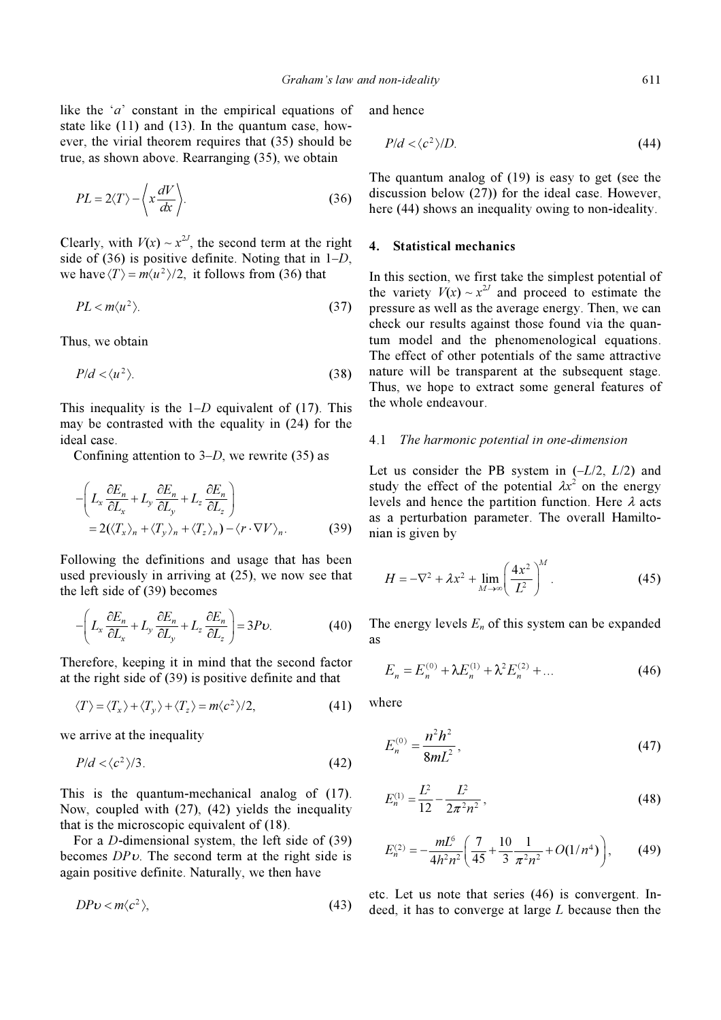like the  $a'$  constant in the empirical equations of state like (11) and (13). In the quantum case, however, the virial theorem requires that (35) should be true, as shown above. Rearranging (35), we obtain

$$
PL = 2\langle T \rangle - \left\langle x \frac{dV}{dx} \right\rangle. \tag{36}
$$

Clearly, with  $V(x) \sim x^{2J}$ , the second term at the right side of (36) is positive definite. Noting that in  $1-D$ , we have  $\langle T \rangle = m \langle u^2 \rangle / 2$ , it follows from (36) that

$$
PL < m\langle u^2 \rangle. \tag{37}
$$

Thus, we obtain

$$
P/d \lt \langle u^2 \rangle. \tag{38}
$$

This inequality is the  $1-D$  equivalent of (17). This may be contrasted with the equality in (24) for the ideal case.

Confining attention to  $3-D$ , we rewrite (35) as

$$
-\left(L_x \frac{\partial E_n}{\partial L_x} + L_y \frac{\partial E_n}{\partial L_y} + L_z \frac{\partial E_n}{\partial L_z}\right)
$$
  
= 2( $(T_x)_n + \langle T_y \rangle_n + \langle T_z \rangle_n$ ) -  $\langle r \cdot \nabla V \rangle_n$ . (39)

Following the definitions and usage that has been used previously in arriving at (25), we now see that the left side of (39) becomes

$$
-\left(L_x \frac{\partial E_n}{\partial L_x} + L_y \frac{\partial E_n}{\partial L_y} + L_z \frac{\partial E_n}{\partial L_z}\right) = 3Pv.
$$
 (40)

Therefore, keeping it in mind that the second factor at the right side of (39) is positive definite and that

$$
\langle T \rangle = \langle T_x \rangle + \langle T_y \rangle + \langle T_z \rangle = m \langle c^2 \rangle / 2, \tag{41}
$$

we arrive at the inequality

$$
P/d \lt \langle c^2 \rangle /3. \tag{42}
$$

This is the quantum-mechanical analog of (17). Now, coupled with (27), (42) yields the inequality that is the microscopic equivalent of (18).

 For a D-dimensional system, the left side of (39) becomes  $DPv$ . The second term at the right side is again positive definite. Naturally, we then have

$$
DPv < m\langle c^2 \rangle,\tag{43}
$$

and hence

$$
P/d \lt \langle c^2 \rangle / D. \tag{44}
$$

The quantum analog of (19) is easy to get (see the discussion below (27)) for the ideal case. However, here (44) shows an inequality owing to non-ideality.

# 4. Statistical mechanics

In this section, we first take the simplest potential of the variety  $V(x) \sim x^{2J}$  and proceed to estimate the pressure as well as the average energy. Then, we can check our results against those found via the quantum model and the phenomenological equations. The effect of other potentials of the same attractive nature will be transparent at the subsequent stage. Thus, we hope to extract some general features of the whole endeavour.

## 4.1 The harmonic potential in one-dimension

Let us consider the PB system in  $(-L/2, L/2)$  and study the effect of the potential  $\lambda x^2$  on the energy levels and hence the partition function. Here  $\lambda$  acts as a perturbation parameter. The overall Hamiltonian is given by

$$
H = -\nabla^2 + \lambda x^2 + \lim_{M \to \infty} \left( \frac{4x^2}{L^2} \right)^M.
$$
 (45)

The energy levels  $E_n$  of this system can be expanded as

$$
E_n = E_n^{(0)} + \lambda E_n^{(1)} + \lambda^2 E_n^{(2)} + \dots
$$
 (46)

where

$$
E_n^{(0)} = \frac{n^2 h^2}{8mL^2},
$$
\t(47)

$$
E_n^{(1)} = \frac{L^2}{12} - \frac{L^2}{2\pi^2 n^2},
$$
\n(48)

$$
E_n^{(2)} = -\frac{mL^6}{4h^2n^2} \left( \frac{7}{45} + \frac{10}{3} \frac{1}{\pi^2n^2} + O(1/n^4) \right), \qquad (49)
$$

etc. Let us note that series (46) is convergent. Indeed, it has to converge at large  $L$  because then the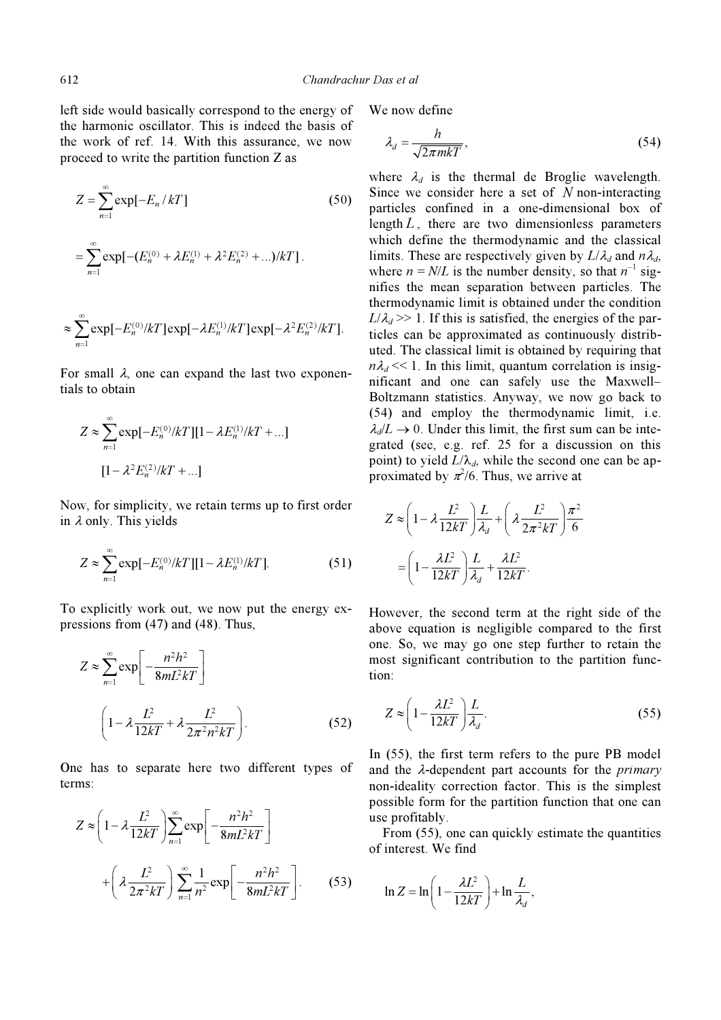left side would basically correspond to the energy of the harmonic oscillator. This is indeed the basis of the work of ref. 14. With this assurance, we now proceed to write the partition function Z as

$$
Z = \sum_{n=1}^{\infty} \exp[-E_n / kT]
$$
 (50)  
= 
$$
\sum_{n=1}^{\infty} \exp[-(E_n^{(0)} + \lambda E_n^{(1)} + \lambda^2 E_n^{(2)} + ...)kT].
$$

$$
\approx \sum_{n=1}^{\infty} \exp[-E_n^{(0)}/kT] \exp[-\lambda E_n^{(1)}/kT] \exp[-\lambda^2 E_n^{(2)}/kT].
$$

For small  $\lambda$ , one can expand the last two exponentials to obtain

$$
Z \approx \sum_{n=1}^{\infty} \exp[-E_n^{(0)}/kT][1 - \lambda E_n^{(1)}/kT + \dots]
$$
  

$$
[1 - \lambda^2 E_n^{(2)}/kT + \dots]
$$

Now, for simplicity, we retain terms up to first order in  $\lambda$  only. This yields

$$
Z \approx \sum_{n=1}^{\infty} \exp[-E_n^{(0)}/kT][1 - \lambda E_n^{(1)}/kT].
$$
 (51)

To explicitly work out, we now put the energy expressions from (47) and (48). Thus,

$$
Z \approx \sum_{n=1}^{\infty} \exp\left[-\frac{n^2 h^2}{8mL^2 kT}\right]
$$

$$
\left(1 - \lambda \frac{L^2}{12kT} + \lambda \frac{L^2}{2\pi^2 n^2 kT}\right).
$$
(52)

One has to separate here two different types of terms:

$$
Z \approx \left(1 - \lambda \frac{L^2}{12kT}\right) \sum_{n=1}^{\infty} \exp\left[-\frac{n^2h^2}{8mL^2kT}\right]
$$

$$
+ \left(\lambda \frac{L^2}{2\pi^2kT}\right) \sum_{n=1}^{\infty} \frac{1}{n^2} \exp\left[-\frac{n^2h^2}{8mL^2kT}\right].
$$
 (53)

We now define

$$
\lambda_d = \frac{h}{\sqrt{2\pi mkT}},\tag{54}
$$

where  $\lambda_d$  is the thermal de Broglie wavelength. Since we consider here a set of  $N$  non-interacting particles confined in a one-dimensional box of length  $L$ , there are two dimensionless parameters which define the thermodynamic and the classical limits. These are respectively given by  $L/\lambda_d$  and  $n\lambda_d$ , where  $n = N/L$  is the number density, so that  $n^{-1}$  signifies the mean separation between particles. The thermodynamic limit is obtained under the condition  $L/\lambda_d \gg 1$ . If this is satisfied, the energies of the particles can be approximated as continuously distributed. The classical limit is obtained by requiring that  $n\lambda_d \ll 1$ . In this limit, quantum correlation is insignificant and one can safely use the Maxwell– Boltzmann statistics. Anyway, we now go back to (54) and employ the thermodynamic limit, i.e.  $\lambda_d/L \rightarrow 0$ . Under this limit, the first sum can be integrated (see, e.g. ref. 25 for a discussion on this point) to yield  $L/\lambda_d$ , while the second one can be approximated by  $\pi^2/6$ . Thus, we arrive at

$$
Z \approx \left(1 - \lambda \frac{L^2}{12kT}\right) \frac{L}{\lambda_d} + \left(\lambda \frac{L^2}{2\pi^2 kT}\right) \frac{\pi^2}{6}
$$

$$
= \left(1 - \frac{\lambda L^2}{12kT}\right) \frac{L}{\lambda_d} + \frac{\lambda L^2}{12kT}.
$$

However, the second term at the right side of the above equation is negligible compared to the first one. So, we may go one step further to retain the most significant contribution to the partition function:

$$
Z \approx \left(1 - \frac{\lambda L^2}{12kT}\right) \frac{L}{\lambda_d}.\tag{55}
$$

In (55), the first term refers to the pure PB model and the  $\lambda$ -dependent part accounts for the *primary* non-ideality correction factor. This is the simplest possible form for the partition function that one can use profitably.

 From (55), one can quickly estimate the quantities of interest. We find

$$
\ln Z = \ln \left( 1 - \frac{\lambda L^2}{12kT} \right) + \ln \frac{L}{\lambda_d},
$$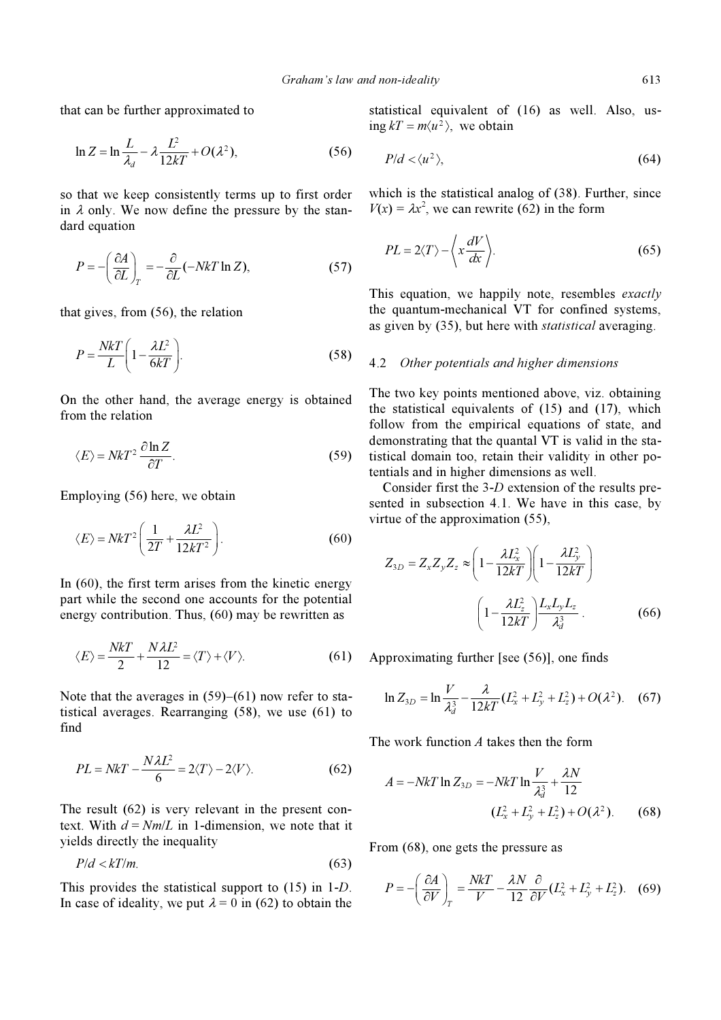that can be further approximated to

$$
\ln Z = \ln \frac{L}{\lambda_d} - \lambda \frac{L^2}{12kT} + O(\lambda^2),\tag{56}
$$

so that we keep consistently terms up to first order in  $\lambda$  only. We now define the pressure by the standard equation

$$
P = -\left(\frac{\partial A}{\partial L}\right)_T = -\frac{\partial}{\partial L}(-NkT\ln Z),\tag{57}
$$

that gives, from (56), the relation

$$
P = \frac{NkT}{L} \left( 1 - \frac{\lambda L^2}{6kT} \right). \tag{58}
$$

On the other hand, the average energy is obtained from the relation

$$
\langle E \rangle = NkT^2 \frac{\partial \ln Z}{\partial T}.
$$
 (59)

Employing (56) here, we obtain

$$
\langle E \rangle = NkT^2 \left( \frac{1}{2T} + \frac{\lambda L^2}{12kT^2} \right). \tag{60}
$$

In (60), the first term arises from the kinetic energy part while the second one accounts for the potential energy contribution. Thus, (60) may be rewritten as

$$
\langle E \rangle = \frac{NkT}{2} + \frac{N\lambda L^2}{12} = \langle T \rangle + \langle V \rangle.
$$
 (61)

Note that the averages in  $(59)$ – $(61)$  now refer to statistical averages. Rearranging (58), we use (61) to find

$$
PL = NkT - \frac{N\lambda L^2}{6} = 2\langle T \rangle - 2\langle V \rangle.
$$
 (62)

The result (62) is very relevant in the present context. With  $d = Nm/L$  in 1-dimension, we note that it yields directly the inequality

$$
P/d < kT/m. \tag{63}
$$

This provides the statistical support to (15) in 1-D. In case of ideality, we put  $\lambda = 0$  in (62) to obtain the statistical equivalent of (16) as well. Also, using  $kT = m\langle u^2 \rangle$ , we obtain

$$
P/d \langle u^2 \rangle, \tag{64}
$$

which is the statistical analog of (38). Further, since  $V(x) = \lambda x^2$ , we can rewrite (62) in the form

$$
PL = 2\langle T \rangle - \left\langle x \frac{dV}{dx} \right\rangle. \tag{65}
$$

This equation, we happily note, resembles *exactly* the quantum-mechanical VT for confined systems, as given by (35), but here with statistical averaging.

## 4.2 Other potentials and higher dimensions

The two key points mentioned above, viz. obtaining the statistical equivalents of (15) and (17), which follow from the empirical equations of state, and demonstrating that the quantal VT is valid in the statistical domain too, retain their validity in other potentials and in higher dimensions as well.

 Consider first the 3-D extension of the results presented in subsection 4.1. We have in this case, by virtue of the approximation (55),

$$
Z_{3D} = Z_x Z_y Z_z \approx \left(1 - \frac{\lambda L_x^2}{12kT}\right) \left(1 - \frac{\lambda L_y^2}{12kT}\right)
$$

$$
\left(1 - \frac{\lambda L_z^2}{12kT}\right) \frac{L_x L_y L_z}{\lambda_d^3} \,. \tag{66}
$$

Approximating further [see (56)], one finds

$$
\ln Z_{3D} = \ln \frac{V}{\lambda_d^3} - \frac{\lambda}{12kT} (L_x^2 + L_y^2 + L_z^2) + O(\lambda^2). \quad (67)
$$

The work function A takes then the form

$$
A = -NkT \ln Z_{3D} = -NkT \ln \frac{V}{\lambda_d^3} + \frac{\lambda N}{12}
$$
  

$$
(L_x^2 + L_y^2 + L_z^2) + O(\lambda^2).
$$
 (68)

From (68), one gets the pressure as

$$
P = -\left(\frac{\partial A}{\partial V}\right)_T = \frac{NkT}{V} - \frac{\lambda N}{12} \frac{\partial}{\partial V} (L_x^2 + L_y^2 + L_z^2). \quad (69)
$$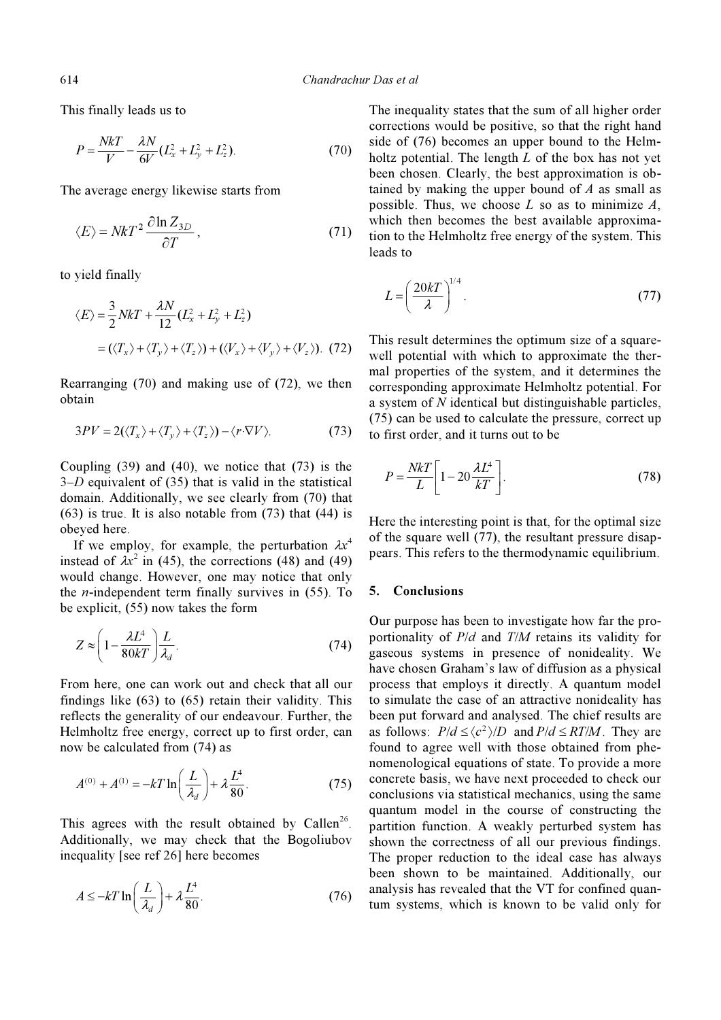This finally leads us to

$$
P = \frac{NkT}{V} - \frac{\lambda N}{6V} (L_x^2 + L_y^2 + L_z^2).
$$
 (70)

The average energy likewise starts from

$$
\langle E \rangle = NkT^2 \frac{\partial \ln Z_{3D}}{\partial T},\qquad(71)
$$

to yield finally

$$
\langle E \rangle = \frac{3}{2} NkT + \frac{\lambda N}{12} (L_x^2 + L_y^2 + L_z^2)
$$
  
=  $(\langle T_x \rangle + \langle T_y \rangle + \langle T_z \rangle) + (\langle V_x \rangle + \langle V_y \rangle + \langle V_z \rangle).$  (72)

Rearranging (70) and making use of (72), we then obtain

$$
3PV = 2(\langle T_x \rangle + \langle T_v \rangle + \langle T_z \rangle) - \langle r \cdot \nabla V \rangle.
$$
 (73)

Coupling (39) and (40), we notice that (73) is the  $3-D$  equivalent of (35) that is valid in the statistical domain. Additionally, we see clearly from (70) that (63) is true. It is also notable from (73) that (44) is obeyed here.

If we employ, for example, the perturbation  $\lambda x^4$ instead of  $\lambda x^2$  in (45), the corrections (48) and (49) would change. However, one may notice that only the *n*-independent term finally survives in  $(55)$ . To be explicit, (55) now takes the form

$$
Z \approx \left(1 - \frac{\lambda L^4}{80kT}\right) \frac{L}{\lambda_d}.\tag{74}
$$

From here, one can work out and check that all our findings like (63) to (65) retain their validity. This reflects the generality of our endeavour. Further, the Helmholtz free energy, correct up to first order, can now be calculated from (74) as

$$
A^{(0)} + A^{(1)} = -kT \ln \left( \frac{L}{\lambda_d} \right) + \lambda \frac{L^4}{80}.
$$
 (75)

This agrees with the result obtained by Callen<sup>26</sup>. Additionally, we may check that the Bogoliubov inequality [see ref 26] here becomes

$$
A \le -kT \ln\left(\frac{L}{\lambda_d}\right) + \lambda \frac{L^4}{80}.\tag{76}
$$

The inequality states that the sum of all higher order corrections would be positive, so that the right hand side of (76) becomes an upper bound to the Helmholtz potential. The length  $L$  of the box has not yet been chosen. Clearly, the best approximation is obtained by making the upper bound of  $A$  as small as possible. Thus, we choose  $L$  so as to minimize  $A$ , which then becomes the best available approximation to the Helmholtz free energy of the system. This leads to

$$
L = \left(\frac{20k}{\lambda}\right)^{1/4}.\tag{77}
$$

This result determines the optimum size of a squarewell potential with which to approximate the thermal properties of the system, and it determines the corresponding approximate Helmholtz potential. For a system of N identical but distinguishable particles, (75) can be used to calculate the pressure, correct up to first order, and it turns out to be

$$
P = \frac{NkT}{L} \left[ 1 - 20 \frac{\lambda L^4}{kT} \right].
$$
 (78)

Here the interesting point is that, for the optimal size of the square well (77), the resultant pressure disappears. This refers to the thermodynamic equilibrium.

# 5. Conclusions

Our purpose has been to investigate how far the proportionality of  $P/d$  and  $T/M$  retains its validity for gaseous systems in presence of nonideality. We have chosen Graham's law of diffusion as a physical process that employs it directly. A quantum model to simulate the case of an attractive nonideality has been put forward and analysed. The chief results are as follows:  $P/d \le \langle c^2 \rangle / D$  and  $P/d \le RT/M$ . They are found to agree well with those obtained from phenomenological equations of state. To provide a more concrete basis, we have next proceeded to check our conclusions via statistical mechanics, using the same quantum model in the course of constructing the partition function. A weakly perturbed system has shown the correctness of all our previous findings. The proper reduction to the ideal case has always been shown to be maintained. Additionally, our analysis has revealed that the VT for confined quantum systems, which is known to be valid only for